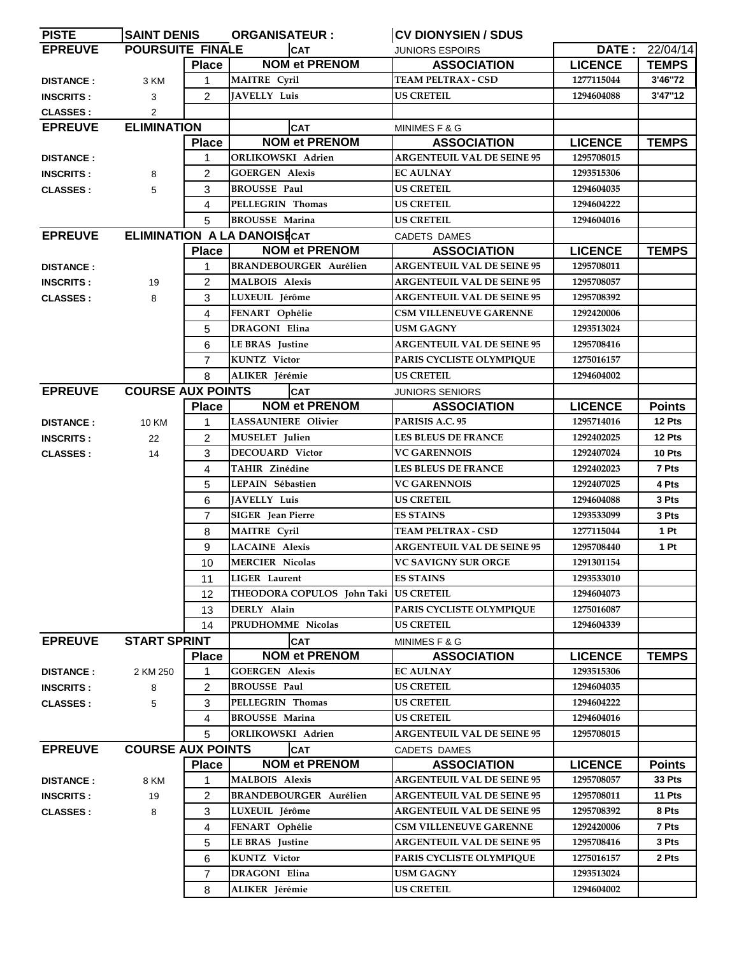| <b>PISTE</b>     | SAINT DENIS                        |                | <b>ORGANISATEUR :</b>         | <b> CV DIONYSIEN / SDUS</b>                  |                |                |
|------------------|------------------------------------|----------------|-------------------------------|----------------------------------------------|----------------|----------------|
| <b>EPREUVE</b>   | <b>POURSUITE FINALE</b>            |                | <b>CAT</b>                    | <b>JUNIORS ESPOIRS</b>                       |                | DATE: 22/04/14 |
|                  |                                    | <b>Place</b>   | <b>NOM et PRENOM</b>          | <b>ASSOCIATION</b>                           | <b>LICENCE</b> | <b>TEMPS</b>   |
| <b>DISTANCE:</b> | 3 KM                               | 1              | <b>MAITRE</b> Cyril           | <b>TEAM PELTRAX - CSD</b>                    | 1277115044     | 3'46"72        |
| <b>INSCRITS:</b> | 3                                  | $\overline{2}$ | <b>JAVELLY Luis</b>           | <b>US CRETEIL</b>                            | 1294604088     | 3'47"12        |
| <b>CLASSES:</b>  | 2                                  |                |                               |                                              |                |                |
| <b>EPREUVE</b>   | <b>ELIMINATION</b>                 |                | <b>CAT</b>                    | MINIMES F & G                                |                |                |
|                  |                                    | <b>Place</b>   | <b>NOM et PRENOM</b>          | <b>ASSOCIATION</b>                           | <b>LICENCE</b> | <b>TEMPS</b>   |
| <b>DISTANCE:</b> |                                    | 1              | <b>ORLIKOWSKI</b> Adrien      | <b>ARGENTEUIL VAL DE SEINE 95</b>            | 1295708015     |                |
| <b>INSCRITS:</b> | 8                                  | $\overline{2}$ | <b>GOERGEN Alexis</b>         | <b>EC AULNAY</b>                             | 1293515306     |                |
| <b>CLASSES:</b>  | 5                                  | 3              | <b>BROUSSE Paul</b>           | <b>US CRETEIL</b>                            | 1294604035     |                |
|                  |                                    | 4              | PELLEGRIN Thomas              | <b>US CRETEIL</b>                            | 1294604222     |                |
|                  |                                    | 5              | <b>BROUSSE Marina</b>         | <b>US CRETEIL</b>                            | 1294604016     |                |
| <b>EPREUVE</b>   | <b>ELIMINATION A LA DANOISECAT</b> |                | CADETS DAMES                  |                                              |                |                |
|                  |                                    | <b>Place</b>   | <b>NOM et PRENOM</b>          | <b>ASSOCIATION</b>                           | <b>LICENCE</b> | <b>TEMPS</b>   |
| <b>DISTANCE:</b> |                                    | 1              | <b>BRANDEBOURGER Aurélien</b> | <b>ARGENTEUIL VAL DE SEINE 95</b>            | 1295708011     |                |
| <b>INSCRITS:</b> | 19                                 | $\overline{c}$ | <b>MALBOIS Alexis</b>         | <b>ARGENTEUIL VAL DE SEINE 95</b>            | 1295708057     |                |
| <b>CLASSES:</b>  | 8                                  | 3              | LUXEUIL Jérôme                | <b>ARGENTEUIL VAL DE SEINE 95</b>            | 1295708392     |                |
|                  |                                    | 4              | FENART Ophélie                | <b>CSM VILLENEUVE GARENNE</b>                | 1292420006     |                |
|                  |                                    | 5              | <b>DRAGONI Elina</b>          | <b>USM GAGNY</b>                             | 1293513024     |                |
|                  |                                    | 6              | <b>LE BRAS</b> Justine        | <b>ARGENTEUIL VAL DE SEINE 95</b>            | 1295708416     |                |
|                  |                                    | $\overline{7}$ | <b>KUNTZ</b> Victor           | PARIS CYCLISTE OLYMPIQUE                     | 1275016157     |                |
|                  |                                    | 8              | ALIKER Jérémie                | <b>US CRETEIL</b>                            | 1294604002     |                |
| <b>EPREUVE</b>   | <b>COURSE AUX POINTS</b>           |                | <b>CAT</b>                    |                                              |                |                |
|                  |                                    | <b>Place</b>   | <b>NOM et PRENOM</b>          | <b>JUNIORS SENIORS</b><br><b>ASSOCIATION</b> | <b>LICENCE</b> | <b>Points</b>  |
|                  |                                    | 1              | LASSAUNIERE Olivier           | PARISIS A.C. 95                              | 1295714016     | 12 Pts         |
| <b>DISTANCE:</b> | <b>10 KM</b>                       |                |                               |                                              |                |                |
| <b>INSCRITS:</b> | 22                                 | $\overline{2}$ | <b>MUSELET</b> Julien         | <b>LES BLEUS DE FRANCE</b>                   | 1292402025     | 12 Pts         |
| <b>CLASSES:</b>  | 14                                 | 3              | <b>DECOUARD Victor</b>        | <b>VC GARENNOIS</b>                          | 1292407024     | 10 Pts         |
|                  |                                    | 4              | <b>TAHIR Zinédine</b>         | <b>LES BLEUS DE FRANCE</b>                   | 1292402023     | 7 Pts          |
|                  |                                    | 5              | LEPAIN Sébastien              | <b>VC GARENNOIS</b>                          | 1292407025     | 4 Pts          |
|                  |                                    | 6              | JAVELLY Luis                  | <b>US CRETEIL</b>                            | 1294604088     | 3 Pts          |
|                  |                                    | $\overline{7}$ | <b>SIGER</b> Jean Pierre      | <b>ES STAINS</b>                             | 1293533099     | 3 Pts          |
|                  |                                    | 8              | MAITRE Cyril                  | <b>TEAM PELTRAX - CSD</b>                    | 1277115044     | 1 Pt           |
|                  |                                    | 9              | <b>LACAINE</b> Alexis         | <b>ARGENTEUIL VAL DE SEINE 95</b>            | 1295708440     | 1 Pt           |
|                  |                                    | 10             | <b>MERCIER Nicolas</b>        | <b>VC SAVIGNY SUR ORGE</b>                   | 1291301154     |                |
|                  |                                    | 11             | <b>LIGER</b> Laurent          | <b>ES STAINS</b>                             | 1293533010     |                |
|                  |                                    | 12             | THEODORA COPULOS John Taki    | <b>US CRETEIL</b>                            | 1294604073     |                |
|                  |                                    | 13             | DERLY Alain                   | PARIS CYCLISTE OLYMPIQUE                     | 1275016087     |                |
|                  |                                    | 14             | PRUDHOMME Nicolas             | <b>US CRETEIL</b>                            | 1294604339     |                |
| <b>EPREUVE</b>   | <b>START SPRINT</b>                |                | <b>CAT</b>                    | MINIMES F & G                                |                |                |
|                  |                                    | <b>Place</b>   | <b>NOM et PRENOM</b>          | <b>ASSOCIATION</b>                           | <b>LICENCE</b> | <b>TEMPS</b>   |
| <b>DISTANCE:</b> | 2 KM 250                           | 1              | <b>GOERGEN Alexis</b>         | <b>EC AULNAY</b>                             | 1293515306     |                |
| <b>INSCRITS:</b> | 8                                  | 2              | <b>BROUSSE Paul</b>           | <b>US CRETEIL</b>                            | 1294604035     |                |
| <b>CLASSES:</b>  | 5                                  | 3              | PELLEGRIN Thomas              | <b>US CRETEIL</b>                            | 1294604222     |                |
|                  |                                    | 4              | <b>BROUSSE Marina</b>         | <b>US CRETEIL</b>                            | 1294604016     |                |
|                  |                                    | 5              | ORLIKOWSKI Adrien             | <b>ARGENTEUIL VAL DE SEINE 95</b>            | 1295708015     |                |
| <b>EPREUVE</b>   | <b>COURSE AUX POINTS</b>           |                | <b>CAT</b>                    | <b>CADETS DAMES</b>                          |                |                |
|                  |                                    | <b>Place</b>   | <b>NOM et PRENOM</b>          | <b>ASSOCIATION</b>                           | <b>LICENCE</b> | <b>Points</b>  |
| <b>DISTANCE:</b> | 8 KM                               | 1              | <b>MALBOIS Alexis</b>         | <b>ARGENTEUIL VAL DE SEINE 95</b>            | 1295708057     | 33 Pts         |
| <b>INSCRITS:</b> | 19                                 | $\overline{c}$ | <b>BRANDEBOURGER Aurélien</b> | <b>ARGENTEUIL VAL DE SEINE 95</b>            | 1295708011     | 11 Pts         |
| <b>CLASSES:</b>  | 8                                  | 3              | LUXEUIL Jérôme                | <b>ARGENTEUIL VAL DE SEINE 95</b>            | 1295708392     | 8 Pts          |
|                  |                                    | 4              | FENART Ophélie                | <b>CSM VILLENEUVE GARENNE</b>                | 1292420006     | 7 Pts          |
|                  |                                    | 5              | <b>LE BRAS</b> Justine        | <b>ARGENTEUIL VAL DE SEINE 95</b>            | 1295708416     | 3 Pts          |
|                  |                                    | 6              | <b>KUNTZ</b> Victor           | PARIS CYCLISTE OLYMPIQUE                     | 1275016157     | 2 Pts          |
|                  |                                    | $\overline{7}$ | DRAGONI Elina                 | USM GAGNY                                    | 1293513024     |                |
|                  |                                    | 8              | ALIKER Jérémie                | <b>US CRETEIL</b>                            | 1294604002     |                |
|                  |                                    |                |                               |                                              |                |                |